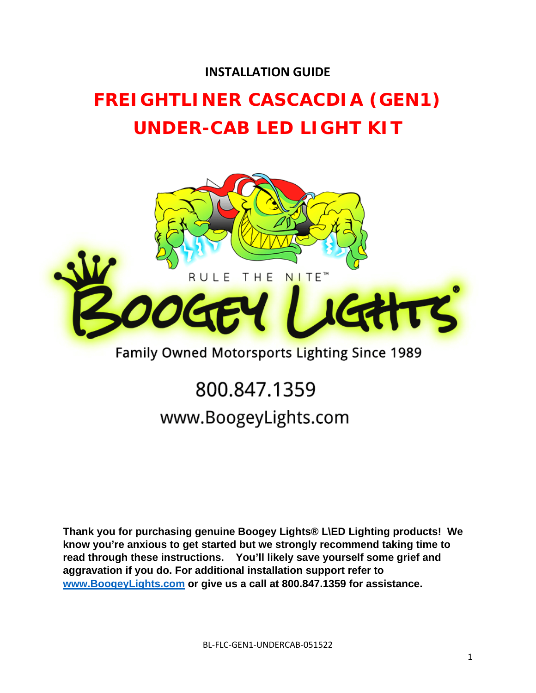## **INSTALLATION GUIDE**

# **FREIGHTLINER CASCACDIA (GEN1) UNDER-CAB LED LIGHT KIT**



## Family Owned Motorsports Lighting Since 1989

# 800.847.1359 www.BoogeyLights.com

**Thank you for purchasing genuine Boogey Lights® L\ED Lighting products! We know you're anxious to get started but we strongly recommend taking time to read through these instructions. You'll likely save yourself some grief and aggravation if you do. For additional installation support refer to www.BoogeyLights.com or give us a call at 800.847.1359 for assistance.**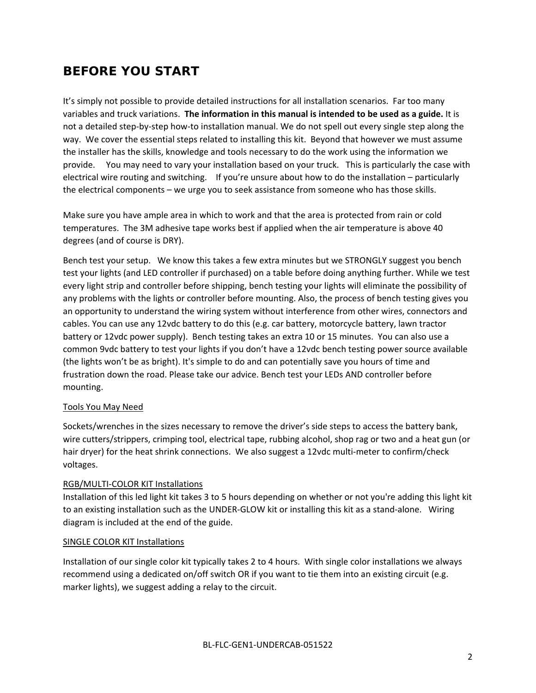## **BEFORE YOU START**

It's simply not possible to provide detailed instructions for all installation scenarios. Far too many variables and truck variations. **The information in this manual is intended to be used as a guide.** It is not a detailed step‐by‐step how‐to installation manual. We do not spell out every single step along the way. We cover the essential steps related to installing this kit. Beyond that however we must assume the installer has the skills, knowledge and tools necessary to do the work using the information we provide. You may need to vary your installation based on your truck. This is particularly the case with electrical wire routing and switching. If you're unsure about how to do the installation – particularly the electrical components – we urge you to seek assistance from someone who has those skills.

Make sure you have ample area in which to work and that the area is protected from rain or cold temperatures. The 3M adhesive tape works best if applied when the air temperature is above 40 degrees (and of course is DRY).

Bench test your setup. We know this takes a few extra minutes but we STRONGLY suggest you bench test your lights (and LED controller if purchased) on a table before doing anything further. While we test every light strip and controller before shipping, bench testing your lights will eliminate the possibility of any problems with the lights or controller before mounting. Also, the process of bench testing gives you an opportunity to understand the wiring system without interference from other wires, connectors and cables. You can use any 12vdc battery to do this (e.g. car battery, motorcycle battery, lawn tractor battery or 12vdc power supply). Bench testing takes an extra 10 or 15 minutes. You can also use a common 9vdc battery to test your lights if you don't have a 12vdc bench testing power source available (the lights won't be as bright). It's simple to do and can potentially save you hours of time and frustration down the road. Please take our advice. Bench test your LEDs AND controller before mounting.

#### Tools You May Need

Sockets/wrenches in the sizes necessary to remove the driver's side steps to access the battery bank, wire cutters/strippers, crimping tool, electrical tape, rubbing alcohol, shop rag or two and a heat gun (or hair dryer) for the heat shrink connections. We also suggest a 12vdc multi-meter to confirm/check voltages.

#### RGB/MULTI‐COLOR KIT Installations

Installation of this led light kit takes 3 to 5 hours depending on whether or not you're adding this light kit to an existing installation such as the UNDER-GLOW kit or installing this kit as a stand-alone. Wiring diagram is included at the end of the guide.

#### SINGLE COLOR KIT Installations

Installation of our single color kit typically takes 2 to 4 hours. With single color installations we always recommend using a dedicated on/off switch OR if you want to tie them into an existing circuit (e.g. marker lights), we suggest adding a relay to the circuit.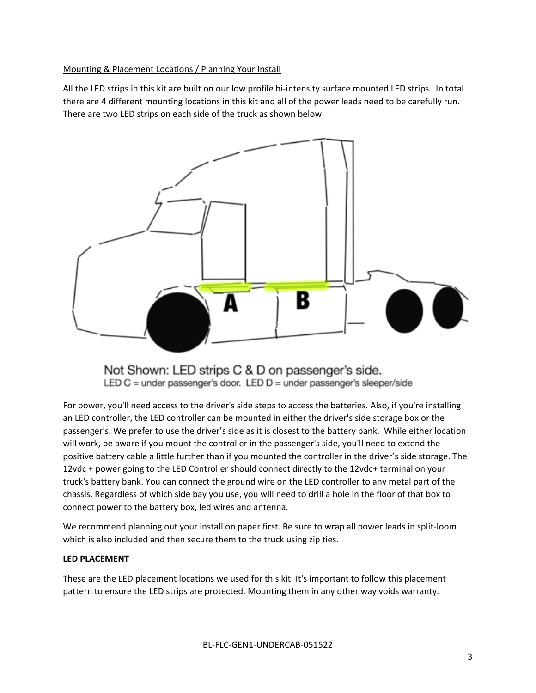#### Mounting & Placement Locations / Planning Your Install

All the LED strips in this kit are built on our low profile hi‐intensity surface mounted LED strips. In total there are 4 different mounting locations in this kit and all of the power leads need to be carefully run. There are two LED strips on each side of the truck as shown below.



Not Shown: LED strips C & D on passenger's side. LED C = under passenger's door. LED  $D$  = under passenger's sleeper/side

For power, you'll need access to the driver's side steps to access the batteries. Also, if you're installing an LED controller, the LED controller can be mounted in either the driver's side storage box or the passenger's. We prefer to use the driver's side as it is closest to the battery bank. While either location will work, be aware if you mount the controller in the passenger's side, you'll need to extend the positive battery cable a little further than if you mounted the controller in the driver's side storage. The 12vdc + power going to the LED Controller should connect directly to the 12vdc+ terminal on your truck's battery bank. You can connect the ground wire on the LED controller to any metal part of the chassis. Regardless of which side bay you use, you will need to drill a hole in the floor of that box to connect power to the battery box, led wires and antenna.

We recommend planning out your install on paper first. Be sure to wrap all power leads in split-loom which is also included and then secure them to the truck using zip ties.

#### **LED PLACEMENT**

These are the LED placement locations we used for this kit. It's important to follow this placement pattern to ensure the LED strips are protected. Mounting them in any other way voids warranty.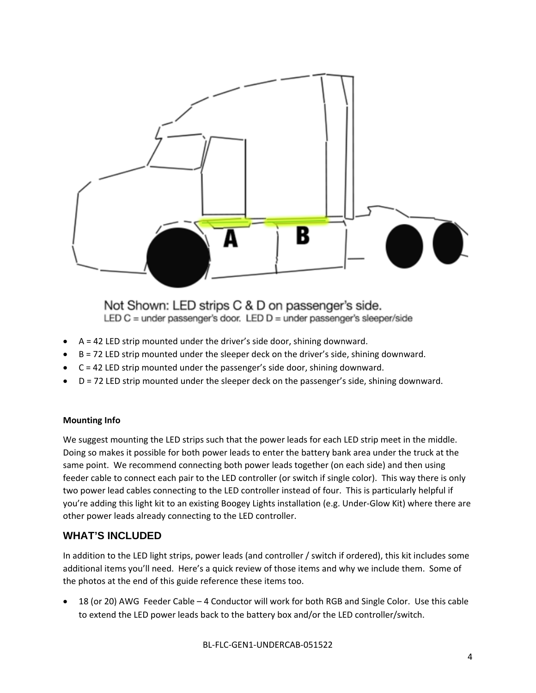

Not Shown: LED strips C & D on passenger's side. LED  $C =$  under passenger's door. LED  $D =$  under passenger's sleeper/side

- $A = 42$  LED strip mounted under the driver's side door, shining downward.
- B = 72 LED strip mounted under the sleeper deck on the driver's side, shining downward.
- $C = 42$  LED strip mounted under the passenger's side door, shining downward.
- D = 72 LED strip mounted under the sleeper deck on the passenger's side, shining downward.

#### **Mounting Info**

We suggest mounting the LED strips such that the power leads for each LED strip meet in the middle. Doing so makes it possible for both power leads to enter the battery bank area under the truck at the same point. We recommend connecting both power leads together (on each side) and then using feeder cable to connect each pair to the LED controller (or switch if single color). This way there is only two power lead cables connecting to the LED controller instead of four. This is particularly helpful if you're adding this light kit to an existing Boogey Lights installation (e.g. Under‐Glow Kit) where there are other power leads already connecting to the LED controller.

### **WHAT'S INCLUDED**

In addition to the LED light strips, power leads (and controller / switch if ordered), this kit includes some additional items you'll need. Here's a quick review of those items and why we include them. Some of the photos at the end of this guide reference these items too.

 18 (or 20) AWG Feeder Cable – 4 Conductor will work for both RGB and Single Color. Use this cable to extend the LED power leads back to the battery box and/or the LED controller/switch.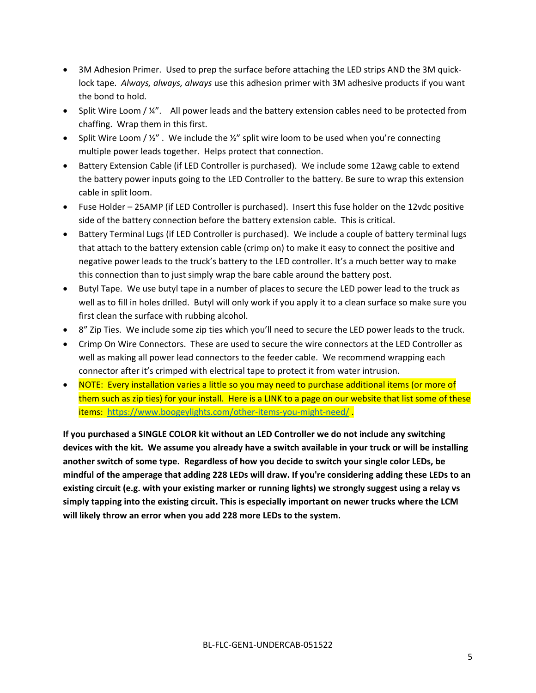- 3M Adhesion Primer. Used to prep the surface before attaching the LED strips AND the 3M quicklock tape. *Always, always, always* use this adhesion primer with 3M adhesive products if you want the bond to hold.
- $\bullet$  Split Wire Loom / ¼". All power leads and the battery extension cables need to be protected from chaffing. Wrap them in this first.
- Split Wire Loom /  $\frac{y''}{z}$ . We include the  $\frac{y''}{z}$  split wire loom to be used when you're connecting multiple power leads together. Helps protect that connection.
- Battery Extension Cable (if LED Controller is purchased). We include some 12awg cable to extend the battery power inputs going to the LED Controller to the battery. Be sure to wrap this extension cable in split loom.
- Fuse Holder 25AMP (if LED Controller is purchased). Insert this fuse holder on the 12vdc positive side of the battery connection before the battery extension cable. This is critical.
- Battery Terminal Lugs (if LED Controller is purchased). We include a couple of battery terminal lugs that attach to the battery extension cable (crimp on) to make it easy to connect the positive and negative power leads to the truck's battery to the LED controller. It's a much better way to make this connection than to just simply wrap the bare cable around the battery post.
- Butyl Tape. We use butyl tape in a number of places to secure the LED power lead to the truck as well as to fill in holes drilled. Butyl will only work if you apply it to a clean surface so make sure you first clean the surface with rubbing alcohol.
- 8" Zip Ties. We include some zip ties which you'll need to secure the LED power leads to the truck.
- Crimp On Wire Connectors. These are used to secure the wire connectors at the LED Controller as well as making all power lead connectors to the feeder cable. We recommend wrapping each connector after it's crimped with electrical tape to protect it from water intrusion.
- NOTE: Every installation varies a little so you may need to purchase additional items (or more of them such as zip ties) for your install. Here is a LINK to a page on our website that list some of these items: https://www.boogeylights.com/other-items-you-might-need/.

**If you purchased a SINGLE COLOR kit without an LED Controller we do not include any switching** devices with the kit. We assume you already have a switch available in your truck or will be installing **another switch of some type. Regardless of how you decide to switch your single color LEDs, be** mindful of the amperage that adding 228 LEDs will draw. If you're considering adding these LEDs to an **existing circuit (e.g. with your existing marker or running lights) we strongly suggest using a relay vs simply tapping into the existing circuit. This is especially important on newer trucks where the LCM will likely throw an error when you add 228 more LEDs to the system.**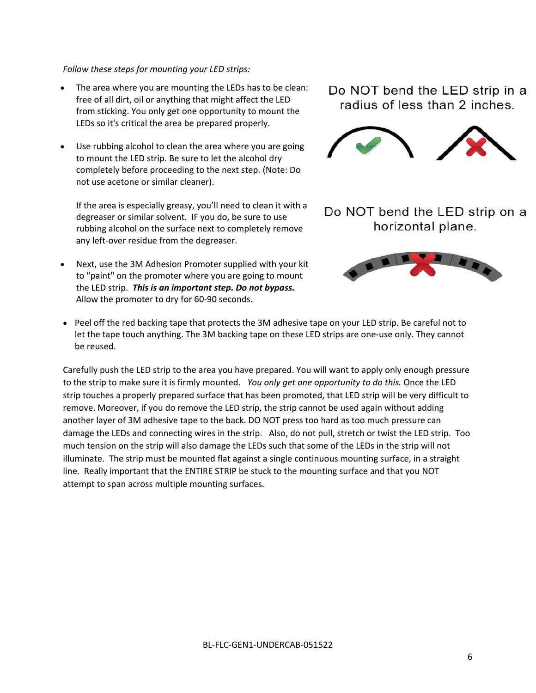#### *Follow these steps for mounting your LED strips:*

- The area where you are mounting the LEDs has to be clean: free of all dirt, oil or anything that might affect the LED from sticking. You only get one opportunity to mount the LEDs so it's critical the area be prepared properly.
- Use rubbing alcohol to clean the area where you are going to mount the LED strip. Be sure to let the alcohol dry completely before proceeding to the next step. (Note: Do not use acetone or similar cleaner).

If the area is especially greasy, you'll need to clean it with a degreaser or similar solvent. IF you do, be sure to use rubbing alcohol on the surface next to completely remove any left-over residue from the degreaser.

 Next, use the 3M Adhesion Promoter supplied with your kit to "paint" on the promoter where you are going to mount the LED strip. *This is an important step. Do not bypass.* Allow the promoter to dry for 60‐90 seconds.

Do NOT bend the LED strip in a radius of less than 2 inches.



Do NOT bend the LED strip on a horizontal plane.



• Peel off the red backing tape that protects the 3M adhesive tape on your LED strip. Be careful not to let the tape touch anything. The 3M backing tape on these LED strips are one-use only. They cannot be reused.

Carefully push the LED strip to the area you have prepared. You will want to apply only enough pressure to the strip to make sure it is firmly mounted. *You only get one opportunity to do this.* Once the LED strip touches a properly prepared surface that has been promoted, that LED strip will be very difficult to remove. Moreover, if you do remove the LED strip, the strip cannot be used again without adding another layer of 3M adhesive tape to the back. DO NOT press too hard as too much pressure can damage the LEDs and connecting wires in the strip. Also, do not pull, stretch or twist the LED strip. Too much tension on the strip will also damage the LEDs such that some of the LEDs in the strip will not illuminate. The strip must be mounted flat against a single continuous mounting surface, in a straight line. Really important that the ENTIRE STRIP be stuck to the mounting surface and that you NOT attempt to span across multiple mounting surfaces.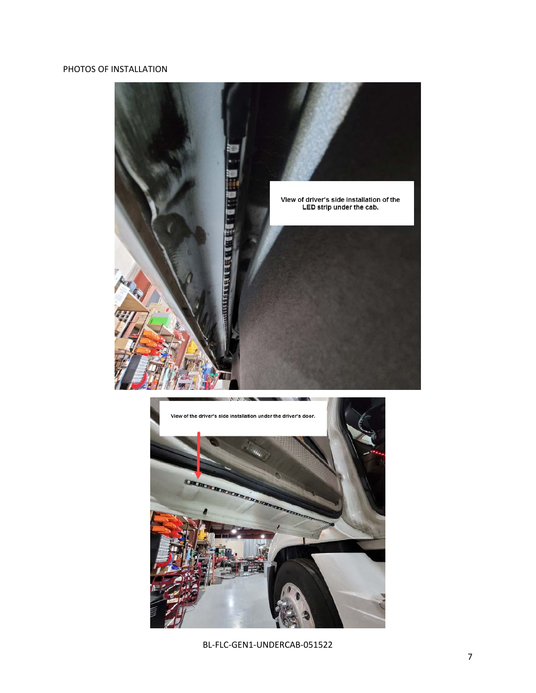### PHOTOS OF INSTALLATION





BL‐FLC‐GEN1‐UNDERCAB‐051522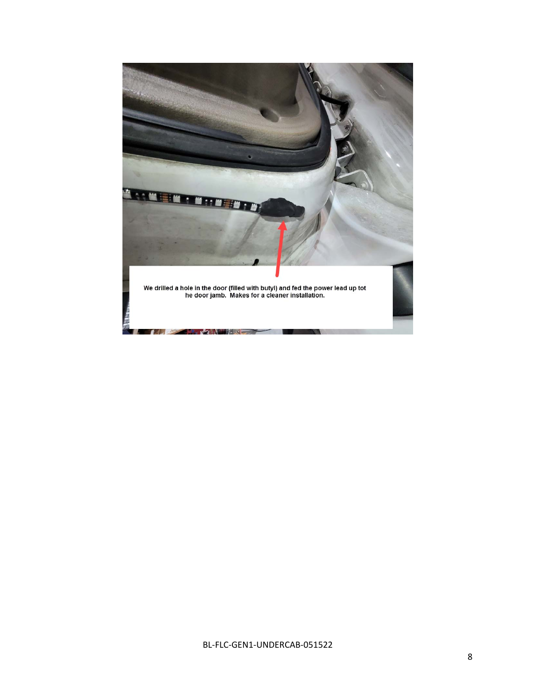